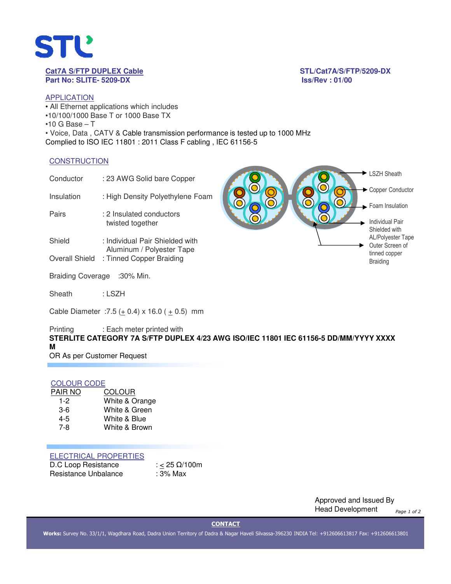

# **Part No: SLITE- 5209-DX Iss/Rev : 01/00**

**Cat7A S/FTP DUPLEX Cable STL/Cat7A/S/FTP/5209-DX**

**Contract Contract** 

# APPLICATION

• All Ethernet applications which includes •10/100/1000 Base T or 1000 Base TX  $•10$  G Base  $-$  T • Voice, Data , CATV & Cable transmission performance is tested up to 1000 MHz Complied to ISO IEC 11801 : 2011 Class F cabling , IEC 61156-5

### **CONSTRUCTION**

| Conductor                | : 23 AWG Solid bare Copper                                   |  | ESZH Sheath                                                |
|--------------------------|--------------------------------------------------------------|--|------------------------------------------------------------|
| Insulation               | : High Density Polyethylene Foam                             |  | Copper Conductor                                           |
| Pairs                    | : 2 Insulated conductors<br>twisted together                 |  | Foam Insulation<br><b>Individual Pair</b><br>Shielded with |
| Shield                   | : Individual Pair Shielded with<br>Aluminum / Polyester Tape |  | <b>AL/Polyester Tape</b><br>Outer Screen of                |
| <b>Overall Shield</b>    | : Tinned Copper Braiding                                     |  | tinned copper<br><b>Braiding</b>                           |
| <b>Braiding Coverage</b> | :30% Min.                                                    |  |                                                            |
| Sheath                   | : LSZH                                                       |  |                                                            |

Cable Diameter : 7.5  $(± 0.4)$  x 16.0  $(± 0.5)$  mm

Printing : Each meter printed with **STERLITE CATEGORY 7A S/FTP DUPLEX 4/23 AWG ISO/IEC 11801 IEC 61156-5 DD/MM/YYYY XXXX M** 

OR As per Customer Request

# COLOUR CODE

| PAIR NO | <b>COLOUR</b>  |
|---------|----------------|
| 1-2     | White & Orange |
| $3-6$   | White & Green  |
| 4-5     | White & Blue   |
| 7-8     | White & Brown  |
|         |                |

## ELECTRICAL PROPERTIES

| D.C Loop Resistance  | : < 25 $\Omega/100$ m |
|----------------------|-----------------------|
| Resistance Unbalance | : 3% Max              |

Approved and Issued By Head Development *Page 1 of 2*

**CONTACT**

**Works:** Survey No. 33/1/1, Wagdhara Road, Dadra Union Territory of Dadra & Nagar Haveli Silvassa-396230 INDIA Tel: +912606613817 Fax: +912606613801